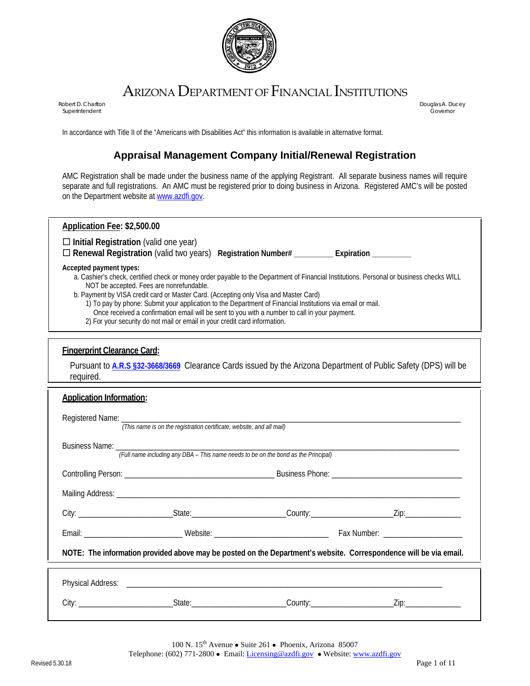

# ARIZONA DEPARTMENT OF FINANCIAL INSTITUTIONS

Superintendent Governor

Robert D. Charlton **Douglas A. Ducey Charlton Charles A. Ducey Douglas A. Ducey <b>Douglas A. Ducey** 

In accordance with Title II of the "Americans with Disabilities Act" this information is available in alternative format.

### **Appraisal Management Company Initial/Renewal Registration**

AMC Registration shall be made under the business name of the applying Registrant. All separate business names will require separate and full registrations. An AMC must be registered prior to doing business in Arizona. Registered AMC's will be posted on the Department website a[t www.azdfi.gov.](http://www.azdfi.gov/) 

| Application Fee: \$2,500.00                                                                                                              |
|------------------------------------------------------------------------------------------------------------------------------------------|
| $\Box$ Initial Registration (valid one year)                                                                                             |
| $\Box$ Renewal Registration (valid two years) Registration Number# $\Box$<br>Expiration                                                  |
| Accepted payment types:                                                                                                                  |
| a. Cashier's check, certified check or money order payable to the Department of Financial Institutions. Personal or business checks WILL |
| NOT be accepted. Fees are nonrefundable.                                                                                                 |
| b. Payment by VISA credit card or Master Card. (Accepting only Visa and Master Card)                                                     |
| 1) To pay by phone: Submit your application to the Department of Financial Institutions via email or mail.                               |

- Once received a confirmation email will be sent to you with a number to call in your payment.
- 2) For your security do not mail or email in your credit card information.

#### **Fingerprint Clearance Card:**

Pursuant to **[A.R.S §32-3668/3669](https://boa.az.gov/sites/default/files/documents/files/House%20Bill%202239%20section%2032.pdf)** Clearance Cards issued by the Arizona Department of Public Safety (DPS) will be required.

| <b>Application Information:</b> |                                                                                                                   |  |
|---------------------------------|-------------------------------------------------------------------------------------------------------------------|--|
|                                 | (This name is on the registration certificate, website, and all mail)                                             |  |
|                                 |                                                                                                                   |  |
|                                 |                                                                                                                   |  |
|                                 |                                                                                                                   |  |
|                                 |                                                                                                                   |  |
|                                 |                                                                                                                   |  |
|                                 | NOTE: The information provided above may be posted on the Department's website. Correspondence will be via email. |  |
|                                 |                                                                                                                   |  |
|                                 |                                                                                                                   |  |

100 N. 15<sup>th</sup> Avenue • Suite 261 • Phoenix, Arizona 85007 Telephone: (602) 771-2800 • Email: <u>Licensing@azdfi.gov</u> • Website: [www.azdfi.gov](http://www.azdfi.gov/)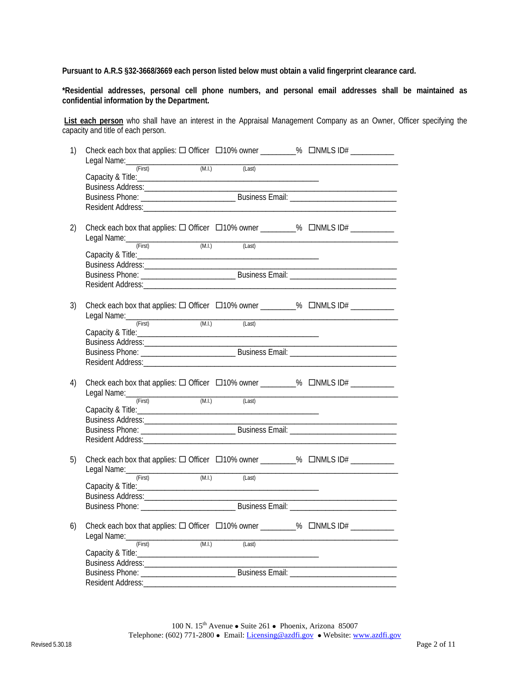**Pursuant to A.R.S §32-3668/3669 each person listed below must obtain a valid fingerprint clearance card.**

**\*Residential addresses, personal cell phone numbers, and personal email addresses shall be maintained as confidential information by the Department.**

**List each person** who shall have an interest in the Appraisal Management Company as an Owner, Officer specifying the capacity and title of each person.

| 1) |                                   |                  | Check each box that applies: $\Box$ Officer $\Box$ 10% owner ________% $\Box$ NMLS ID# ___________   |  |
|----|-----------------------------------|------------------|------------------------------------------------------------------------------------------------------|--|
|    | Legal Name: First (First) (M.I.)  | (Last)           |                                                                                                      |  |
|    |                                   |                  |                                                                                                      |  |
|    |                                   |                  |                                                                                                      |  |
|    |                                   |                  |                                                                                                      |  |
|    |                                   |                  |                                                                                                      |  |
| 2) | Legal Name: <u>First (M.I.</u> )  |                  | Check each box that applies: $\Box$ Officer $\Box$ 10% owner _________% $\Box$ NMLS ID# ____________ |  |
|    |                                   | (Last)           |                                                                                                      |  |
|    |                                   |                  |                                                                                                      |  |
|    |                                   |                  |                                                                                                      |  |
|    |                                   |                  |                                                                                                      |  |
|    |                                   |                  |                                                                                                      |  |
| 3) |                                   |                  | Check each box that applies: $\Box$ Officer $\Box$ 10% owner _________% $\Box$ NMLS ID# ____________ |  |
|    | Legal Name: (First) (M.I.)        | (Last)           |                                                                                                      |  |
|    |                                   |                  |                                                                                                      |  |
|    |                                   |                  |                                                                                                      |  |
|    |                                   |                  |                                                                                                      |  |
|    |                                   |                  |                                                                                                      |  |
| 4) | Legal Name: <u>First (M.I.</u> )  |                  | Check each box that applies: □ Officer □ 10% owner _________% □ NMLS ID# ________                    |  |
|    |                                   | (Last)           |                                                                                                      |  |
|    |                                   |                  |                                                                                                      |  |
|    |                                   |                  |                                                                                                      |  |
|    |                                   |                  |                                                                                                      |  |
|    |                                   |                  |                                                                                                      |  |
| 5) |                                   |                  | Check each box that applies: □ Officer □ 10% owner ________% □ NMLS ID# _________                    |  |
|    | Legal Name: (First) (M.I.) (Last) |                  |                                                                                                      |  |
|    |                                   |                  |                                                                                                      |  |
|    |                                   |                  |                                                                                                      |  |
|    |                                   |                  |                                                                                                      |  |
| 6) |                                   |                  | Check each box that applies: □ Officer □ 10% owner _________% □ NMLS ID# _________                   |  |
|    | Legal Name: (First)               | (M.I.)<br>(Last) |                                                                                                      |  |
|    |                                   |                  |                                                                                                      |  |
|    |                                   |                  |                                                                                                      |  |
|    |                                   |                  |                                                                                                      |  |
|    | Resident Address:_____________    |                  |                                                                                                      |  |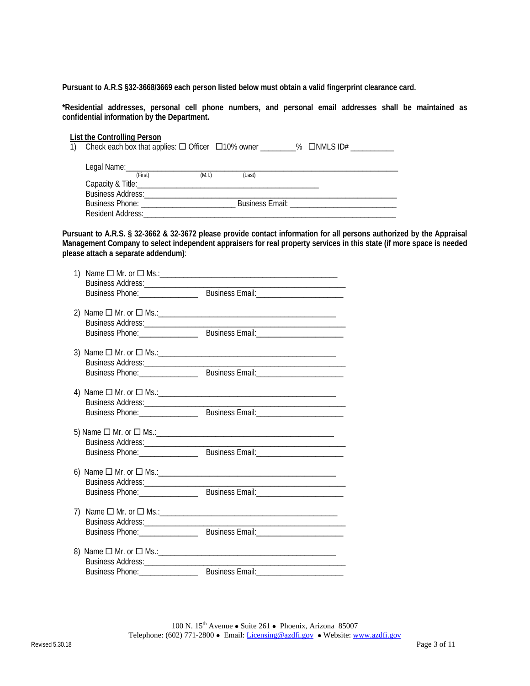**Pursuant to A.R.S §32-3668/3669 each person listed below must obtain a valid fingerprint clearance card.**

**\*Residential addresses, personal cell phone numbers, and personal email addresses shall be maintained as confidential information by the Department.**

#### **List the Controlling Person**

|                                                                                                                                                                                                                                    |        |        | Check each box that applies: $\Box$ Officer $\Box$ 10% owner ________% $\Box$ NMLS ID#                         |
|------------------------------------------------------------------------------------------------------------------------------------------------------------------------------------------------------------------------------------|--------|--------|----------------------------------------------------------------------------------------------------------------|
| Legal Name: $\frac{1}{2}$                                                                                                                                                                                                          |        |        |                                                                                                                |
| (First)                                                                                                                                                                                                                            | (M.I.) | (Last) |                                                                                                                |
|                                                                                                                                                                                                                                    |        |        |                                                                                                                |
| <b>Business Address: Contract Contract Contract Contract Contract Contract Contract Contract Contract Contract Contract Contract Contract Contract Contract Contract Contract Contract Contract Contract Contract Contract Con</b> |        |        |                                                                                                                |
|                                                                                                                                                                                                                                    |        |        | Business Email: New York Changes and Superior Changes and Superior Changes and Superior Changes and Superior C |
| Resident Address:                                                                                                                                                                                                                  |        |        |                                                                                                                |

**Pursuant to A.R.S. § 32-3662 & 32-3672 please provide contact information for all persons authorized by the Appraisal Management Company to select independent appraisers for real property services in this state (if more space is needed please attach a separate addendum)**:

| 1)                                  |                                                                                                                      |
|-------------------------------------|----------------------------------------------------------------------------------------------------------------------|
|                                     |                                                                                                                      |
|                                     |                                                                                                                      |
|                                     |                                                                                                                      |
|                                     |                                                                                                                      |
|                                     |                                                                                                                      |
|                                     | Business Phone: Communication Business Email: Communication Phone:                                                   |
|                                     |                                                                                                                      |
|                                     |                                                                                                                      |
|                                     |                                                                                                                      |
|                                     | Business Phone: Communication Customers Business Email: Communication Phone:                                         |
|                                     |                                                                                                                      |
|                                     |                                                                                                                      |
|                                     |                                                                                                                      |
|                                     |                                                                                                                      |
|                                     |                                                                                                                      |
|                                     |                                                                                                                      |
|                                     |                                                                                                                      |
|                                     | Business Phone: Communication Customers Business Email: Communication Phone:                                         |
|                                     |                                                                                                                      |
|                                     |                                                                                                                      |
|                                     | the control of the control of the control of the control of the control of the control of                            |
|                                     |                                                                                                                      |
|                                     |                                                                                                                      |
| 7)                                  |                                                                                                                      |
|                                     | <u> 1989 - Johann John Stone, market fan it ferstjer fan it ferstjer fan it ferstjer fan it ferstjer fan it fers</u> |
|                                     |                                                                                                                      |
|                                     |                                                                                                                      |
|                                     |                                                                                                                      |
| Business Address:__________________ | the control of the control of the control of the control of the control of                                           |
|                                     |                                                                                                                      |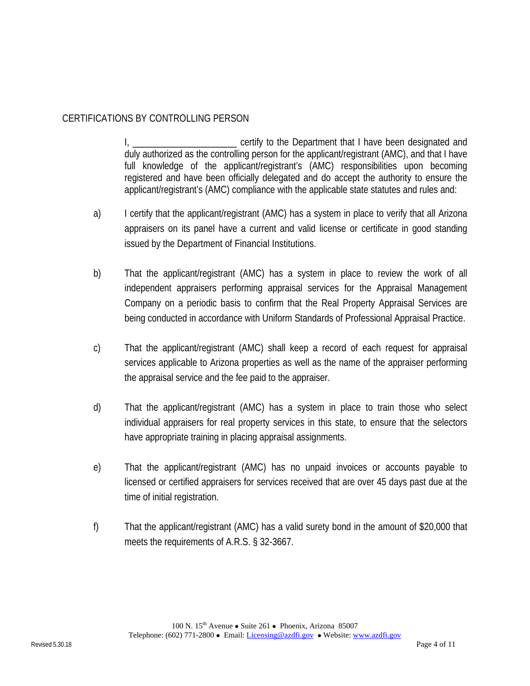## CERTIFICATIONS BY CONTROLLING PERSON

I, \_\_\_\_\_\_\_\_\_\_\_\_\_\_\_\_\_\_\_\_\_\_\_\_\_\_\_ certify to the Department that I have been designated and duly authorized as the controlling person for the applicant/registrant (AMC), and that I have full knowledge of the applicant/registrant's (AMC) responsibilities upon becoming registered and have been officially delegated and do accept the authority to ensure the applicant/registrant's (AMC) compliance with the applicable state statutes and rules and:

- a) I certify that the applicant/registrant (AMC) has a system in place to verify that all Arizona appraisers on its panel have a current and valid license or certificate in good standing issued by the Department of Financial Institutions.
- b) That the applicant/registrant (AMC) has a system in place to review the work of all independent appraisers performing appraisal services for the Appraisal Management Company on a periodic basis to confirm that the Real Property Appraisal Services are being conducted in accordance with Uniform Standards of Professional Appraisal Practice.
- c) That the applicant/registrant (AMC) shall keep a record of each request for appraisal services applicable to Arizona properties as well as the name of the appraiser performing the appraisal service and the fee paid to the appraiser.
- d) That the applicant/registrant (AMC) has a system in place to train those who select individual appraisers for real property services in this state, to ensure that the selectors have appropriate training in placing appraisal assignments.
- e) That the applicant/registrant (AMC) has no unpaid invoices or accounts payable to licensed or certified appraisers for services received that are over 45 days past due at the time of initial registration.
- f) That the applicant/registrant (AMC) has a valid surety bond in the amount of \$20,000 that meets the requirements of A.R.S. § 32-3667.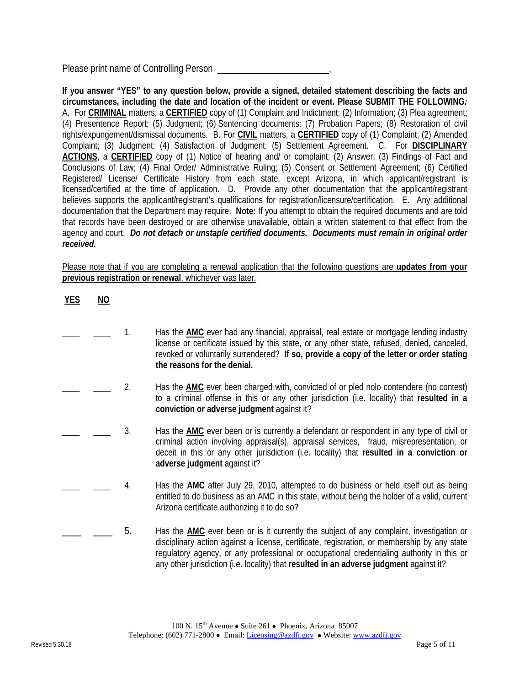Please print name of Controlling Person ,

**If you answer "YES" to any question below, provide a signed, detailed statement describing the facts and circumstances, including the date and location of the incident or event. Please SUBMIT THE FOLLOWING***:*  A. For **CRIMINAL** matters, a **CERTIFIED** copy of (1) Complaint and Indictment; (2) Information; (3) Plea agreement; (4) Presentence Report; (5) Judgment; (6) Sentencing documents: (7) Probation Papers; (8) Restoration of civil rights/expungement/dismissal documents. B. For **CIVIL** matters, a **CERTIFIED** copy of (1) Complaint; (2) Amended Complaint; (3) Judgment; (4) Satisfaction of Judgment; (5) Settlement Agreement. C. For **DISCIPLINARY ACTIONS**, a **CERTIFIED** copy of (1) Notice of hearing and/ or complaint; (2) Answer; (3) Findings of Fact and Conclusions of Law; (4) Final Order/ Administrative Ruling; (5) Consent or Settlement Agreement; (6) Certified Registered/ License/ Certificate History from each state, except Arizona, in which applicant/registrant is licensed/certified at the time of application. D. Provide any other documentation that the applicant/registrant believes supports the applicant/registrant's qualifications for registration/licensure/certification. E. Any additional documentation that the Department may require. **Note:** If you attempt to obtain the required documents and are told that records have been destroyed or are otherwise unavailable, obtain a written statement to that effect from the agency and court. *Do not detach or unstaple certified documents. Documents must remain in original order received.* 

Please note that if you are completing a renewal application that the following questions are **updates from your previous registration or renewal**, whichever was later.

|  | IL. |
|--|-----|
|--|-----|

- 1. Has the **AMC** ever had any financial, appraisal, real estate or mortgage lending industry license or certificate issued by this state, or any other state, refused, denied, canceled, revoked or voluntarily surrendered? **If so, provide a copy of the letter or order stating the reasons for the denial.**
- \_\_\_\_ \_\_\_\_ 2. Has the **AMC** ever been charged with, convicted of or pled nolo contendere (no contest) to a criminal offense in this or any other jurisdiction (i.e. locality) that **resulted in a conviction or adverse judgment** against it?
- \_\_\_\_ \_\_\_\_ 3. Has the **AMC** ever been or is currently a defendant or respondent in any type of civil or criminal action involving appraisal(s), appraisal services, fraud, misrepresentation, or deceit in this or any other jurisdiction (i.e. locality) that **resulted in a conviction or adverse judgment** against it?
- \_\_\_\_ \_\_\_\_ 4. Has the **AMC** after July 29, 2010, attempted to do business or held itself out as being entitled to do business as an AMC in this state, without being the holder of a valid, current Arizona certificate authorizing it to do so?
- 5. Has the **AMC** ever been or is it currently the subject of any complaint, investigation or disciplinary action against a license, certificate, registration, or membership by any state regulatory agency, or any professional or occupational credentialing authority in this or any other jurisdiction (i.e. locality) that **resulted in an adverse judgment** against it?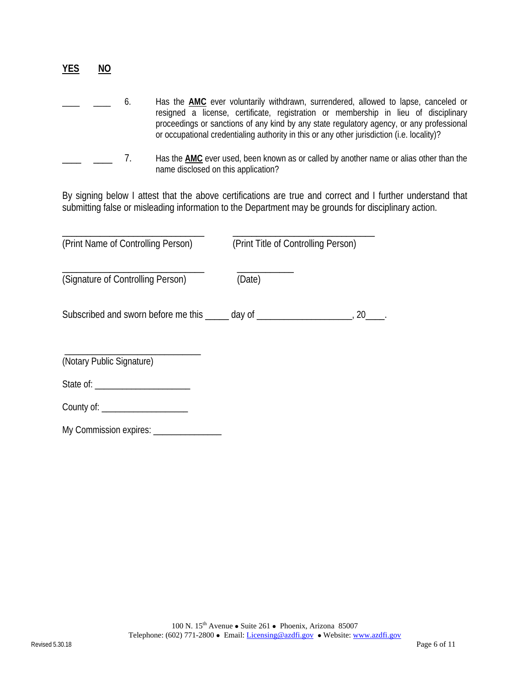|  | b. | Has the AMC ever voluntarily withdrawn, surrendered, allowed to lapse, canceled or<br>resigned a license, certificate, registration or membership in lieu of disciplinary<br>proceedings or sanctions of any kind by any state regulatory agency, or any professional<br>or occupational credentialing authority in this or any other jurisdiction (i.e. locality)? |
|--|----|---------------------------------------------------------------------------------------------------------------------------------------------------------------------------------------------------------------------------------------------------------------------------------------------------------------------------------------------------------------------|
|  |    | Has the AMC ever used, been known as or called by another name or alias other than the<br>name disclosed on this application?                                                                                                                                                                                                                                       |

By signing below I attest that the above certifications are true and correct and I further understand that submitting false or misleading information to the Department may be grounds for disciplinary action.

| (Print Name of Controlling Person)                                               | (Print Title of Controlling Person) |           |
|----------------------------------------------------------------------------------|-------------------------------------|-----------|
| (Signature of Controlling Person)                                                | (Date)                              |           |
| Subscribed and sworn before me this ______ day of ______________________________ |                                     | <b>20</b> |
| (Notary Public Signature)                                                        |                                     |           |
|                                                                                  |                                     |           |
| County of: _____________________                                                 |                                     |           |
| My Commission expires: ________________                                          |                                     |           |

**YES NO**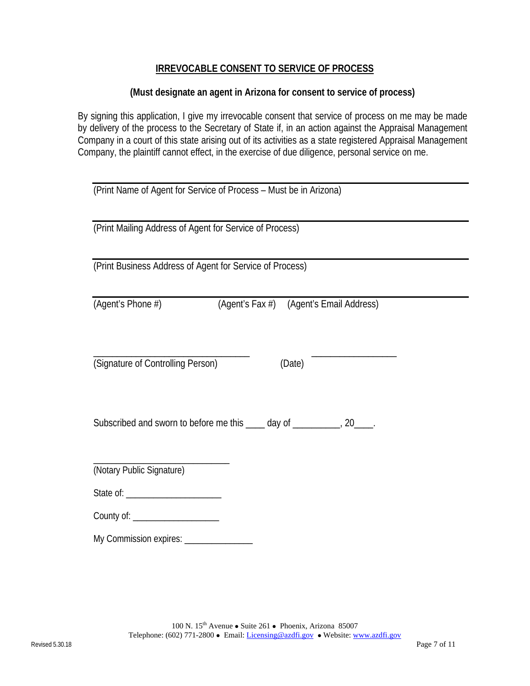#### **IRREVOCABLE CONSENT TO SERVICE OF PROCESS**

#### **(Must designate an agent in Arizona for consent to service of process)**

By signing this application, I give my irrevocable consent that service of process on me may be made by delivery of the process to the Secretary of State if, in an action against the Appraisal Management Company in a court of this state arising out of its activities as a state registered Appraisal Management Company, the plaintiff cannot effect, in the exercise of due diligence, personal service on me.

| (Print Name of Agent for Service of Process - Must be in Arizona)       |  |
|-------------------------------------------------------------------------|--|
| (Print Mailing Address of Agent for Service of Process)                 |  |
| (Print Business Address of Agent for Service of Process)                |  |
| (Agent's Phone #)<br>(Agent's Fax #) (Agent's Email Address)            |  |
| (Signature of Controlling Person)<br>(Date)                             |  |
| Subscribed and sworn to before me this ____ day of ___________, 20____. |  |
| (Notary Public Signature)                                               |  |
|                                                                         |  |
| County of: _____________________                                        |  |
|                                                                         |  |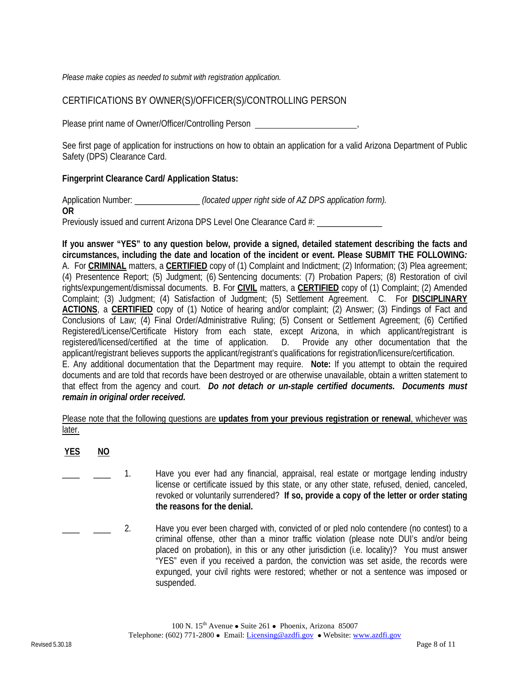*Please make copies as needed to submit with registration application.* 

## CERTIFICATIONS BY OWNER(S)/OFFICER(S)/CONTROLLING PERSON

Please print name of Owner/Officer/Controlling Person ,

See first page of application for instructions on how to obtain an application for a valid Arizona Department of Public Safety (DPS) Clearance Card.

#### **Fingerprint Clearance Card/ Application Status:**

Application Number: \_\_\_\_\_\_\_\_\_\_\_\_\_\_\_ *(located upper right side of AZ DPS application form).* **OR**  Previously issued and current Arizona DPS Level One Clearance Card #:

**If you answer "YES" to any question below, provide a signed, detailed statement describing the facts and circumstances, including the date and location of the incident or event. Please SUBMIT THE FOLLOWING***:*  A. For **CRIMINAL** matters, a **CERTIFIED** copy of (1) Complaint and Indictment; (2) Information; (3) Plea agreement; (4) Presentence Report; (5) Judgment; (6) Sentencing documents: (7) Probation Papers; (8) Restoration of civil rights/expungement/dismissal documents. B. For **CIVIL** matters, a **CERTIFIED** copy of (1) Complaint; (2) Amended Complaint; (3) Judgment; (4) Satisfaction of Judgment; (5) Settlement Agreement. C. For **DISCIPLINARY ACTIONS**, a **CERTIFIED** copy of (1) Notice of hearing and/or complaint; (2) Answer; (3) Findings of Fact and Conclusions of Law; (4) Final Order/Administrative Ruling; (5) Consent or Settlement Agreement; (6) Certified Registered/License/Certificate History from each state, except Arizona, in which applicant/registrant is registered/licensed/certified at the time of application. D. Provide any other documentation that the applicant/registrant believes supports the applicant/registrant's qualifications for registration/licensure/certification. E. Any additional documentation that the Department may require. **Note:** If you attempt to obtain the required documents and are told that records have been destroyed or are otherwise unavailable, obtain a written statement to that effect from the agency and court. *Do not detach or un-staple certified documents. Documents must remain in original order received.*

Please note that the following questions are **updates from your previous registration or renewal**, whichever was later.

**YES NO**

- 1. Have you ever had any financial, appraisal, real estate or mortgage lending industry license or certificate issued by this state, or any other state, refused, denied, canceled, revoked or voluntarily surrendered? **If so, provide a copy of the letter or order stating the reasons for the denial.**
- 2. Have you ever been charged with, convicted of or pled nolo contendere (no contest) to a criminal offense, other than a minor traffic violation (please note DUI's and/or being placed on probation), in this or any other jurisdiction (i.e. locality)? You must answer "YES" even if you received a pardon, the conviction was set aside, the records were expunged, your civil rights were restored; whether or not a sentence was imposed or suspended.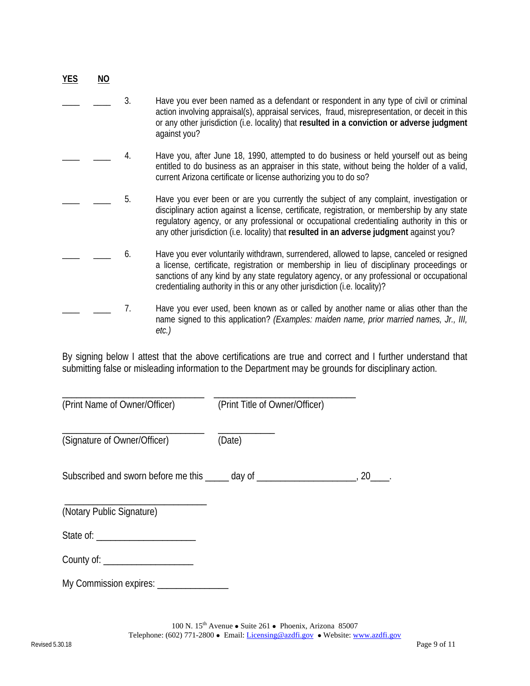| <b>YES</b> | ΝO |    |                                                                                                                                                                                                                                                                                                                                                                                 |
|------------|----|----|---------------------------------------------------------------------------------------------------------------------------------------------------------------------------------------------------------------------------------------------------------------------------------------------------------------------------------------------------------------------------------|
|            |    | 3. | Have you ever been named as a defendant or respondent in any type of civil or criminal<br>action involving appraisal(s), appraisal services, fraud, misrepresentation, or deceit in this<br>or any other jurisdiction (i.e. locality) that resulted in a conviction or adverse judgment<br>against you?                                                                         |
|            |    | 4. | Have you, after June 18, 1990, attempted to do business or held yourself out as being<br>entitled to do business as an appraiser in this state, without being the holder of a valid,<br>current Arizona certificate or license authorizing you to do so?                                                                                                                        |
|            |    | 5. | Have you ever been or are you currently the subject of any complaint, investigation or<br>disciplinary action against a license, certificate, registration, or membership by any state<br>regulatory agency, or any professional or occupational credentialing authority in this or<br>any other jurisdiction (i.e. locality) that resulted in an adverse judgment against you? |
|            |    | 6. | Have you ever voluntarily withdrawn, surrendered, allowed to lapse, canceled or resigned<br>a license, certificate, registration or membership in lieu of disciplinary proceedings or<br>sanctions of any kind by any state regulatory agency, or any professional or occupational<br>credentialing authority in this or any other jurisdiction (i.e. locality)?                |
|            |    | 7. | Have you ever used, been known as or called by another name or alias other than the<br>name signed to this application? (Examples: maiden name, prior married names, Jr., III,<br>$etc.$ )                                                                                                                                                                                      |

By signing below I attest that the above certifications are true and correct and I further understand that submitting false or misleading information to the Department may be grounds for disciplinary action.

| (Print Name of Owner/Officer)                                                    | (Print Title of Owner/Officer) |    |
|----------------------------------------------------------------------------------|--------------------------------|----|
| (Signature of Owner/Officer)                                                     | (Date)                         |    |
| Subscribed and sworn before me this _____ day of _______________________________ |                                | 20 |
| (Notary Public Signature)                                                        |                                |    |
|                                                                                  |                                |    |
| County of: ____________________                                                  |                                |    |

\_\_\_\_\_\_\_\_\_\_\_\_\_\_\_\_\_\_\_\_\_\_\_\_\_\_\_\_\_\_ \_\_\_\_\_\_\_\_\_\_\_\_\_\_\_\_\_\_\_\_\_\_\_\_\_\_\_\_\_\_

My Commission expires: \_\_\_\_\_\_\_\_\_\_\_\_\_\_\_\_\_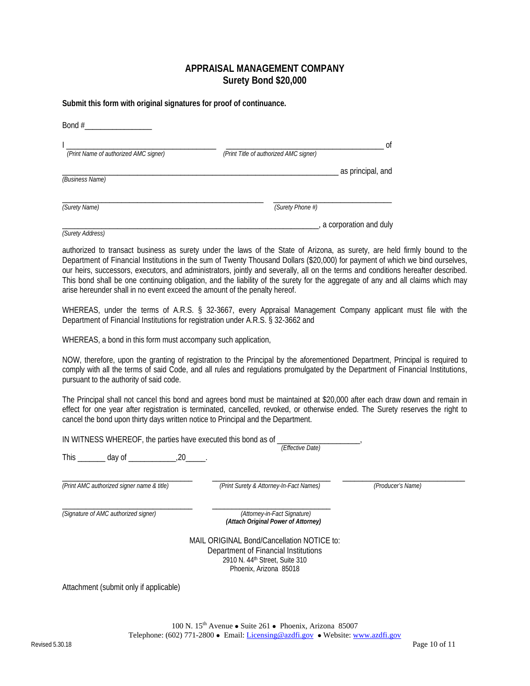#### **APPRAISAL MANAGEMENT COMPANY Surety Bond \$20,000**

**Submit this form with original signatures for proof of continuance.**

| Bond #                                |                                        |                        |
|---------------------------------------|----------------------------------------|------------------------|
| (Print Name of authorized AMC signer) | (Print Title of authorized AMC signer) | 0ľ                     |
| (Business Name)                       |                                        | as principal, and      |
| (Surety Name)                         | (Surety Phone #)                       |                        |
|                                       |                                        | a corporation and duly |

authorized to transact business as surety under the laws of the State of Arizona, as surety, are held firmly bound to the Department of Financial Institutions in the sum of Twenty Thousand Dollars (\$20,000) for payment of which we bind ourselves, our heirs, successors, executors, and administrators, jointly and severally, all on the terms and conditions hereafter described. This bond shall be one continuing obligation, and the liability of the surety for the aggregate of any and all claims which may arise hereunder shall in no event exceed the amount of the penalty hereof.

WHEREAS, under the terms of A.R.S. § 32-3667, every Appraisal Management Company applicant must file with the Department of Financial Institutions for registration under A.R.S. § 32-3662 and

WHEREAS, a bond in this form must accompany such application,

*(Surety Address)*

NOW, therefore, upon the granting of registration to the Principal by the aforementioned Department, Principal is required to comply with all the terms of said Code, and all rules and regulations promulgated by the Department of Financial Institutions, pursuant to the authority of said code.

The Principal shall not cancel this bond and agrees bond must be maintained at \$20,000 after each draw down and remain in effect for one year after registration is terminated, cancelled, revoked, or otherwise ended. The Surety reserves the right to cancel the bond upon thirty days written notice to Principal and the Department.

| IN WITNESS WHEREOF, the parties have executed this bond as of | (Effective Date)                                                                                                                                           |                   |
|---------------------------------------------------------------|------------------------------------------------------------------------------------------------------------------------------------------------------------|-------------------|
| This<br>$day of$ $20$ .                                       |                                                                                                                                                            |                   |
| (Print AMC authorized signer name & title)                    | (Print Surety & Attorney-In-Fact Names)                                                                                                                    | (Producer's Name) |
| (Signature of AMC authorized signer)                          | (Attorney-in-Fact Signature)<br>(Attach Original Power of Attorney)                                                                                        |                   |
|                                                               | MAIL ORIGINAL Bond/Cancellation NOTICE to:<br>Department of Financial Institutions<br>2910 N. 44 <sup>th</sup> Street, Suite 310<br>Phoenix, Arizona 85018 |                   |
|                                                               |                                                                                                                                                            |                   |

Attachment (submit only if applicable)